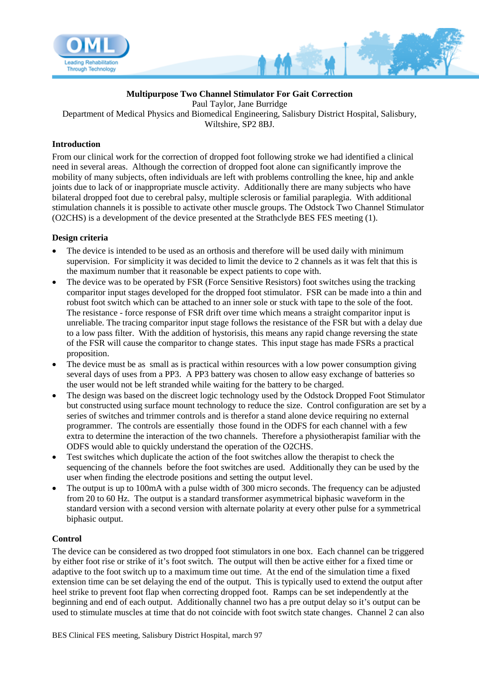

# **Multipurpose Two Channel Stimulator For Gait Correction**

Paul Taylor, Jane Burridge Department of Medical Physics and Biomedical Engineering, Salisbury District Hospital, Salisbury, Wiltshire, SP2 8BJ.

## **Introduction**

From our clinical work for the correction of dropped foot following stroke we had identified a clinical need in several areas. Although the correction of dropped foot alone can significantly improve the mobility of many subjects, often individuals are left with problems controlling the knee, hip and ankle joints due to lack of or inappropriate muscle activity. Additionally there are many subjects who have bilateral dropped foot due to cerebral palsy, multiple sclerosis or familial paraplegia. With additional stimulation channels it is possible to activate other muscle groups. The Odstock Two Channel Stimulator (O2CHS) is a development of the device presented at the Strathclyde BES FES meeting (1).

### **Design criteria**

- The device is intended to be used as an orthosis and therefore will be used daily with minimum supervision. For simplicity it was decided to limit the device to 2 channels as it was felt that this is the maximum number that it reasonable be expect patients to cope with.
- The device was to be operated by FSR (Force Sensitive Resistors) foot switches using the tracking comparitor input stages developed for the dropped foot stimulator. FSR can be made into a thin and robust foot switch which can be attached to an inner sole or stuck with tape to the sole of the foot. The resistance - force response of FSR drift over time which means a straight comparitor input is unreliable. The tracing comparitor input stage follows the resistance of the FSR but with a delay due to a low pass filter. With the addition of hystorisis, this means any rapid change reversing the state of the FSR will cause the comparitor to change states. This input stage has made FSRs a practical proposition.
- The device must be as small as is practical within resources with a low power consumption giving several days of uses from a PP3. A PP3 battery was chosen to allow easy exchange of batteries so the user would not be left stranded while waiting for the battery to be charged.
- The design was based on the discreet logic technology used by the Odstock Dropped Foot Stimulator but constructed using surface mount technology to reduce the size. Control configuration are set by a series of switches and trimmer controls and is therefor a stand alone device requiring no external programmer. The controls are essentially those found in the ODFS for each channel with a few extra to determine the interaction of the two channels. Therefore a physiotherapist familiar with the ODFS would able to quickly understand the operation of the O2CHS.
- Test switches which duplicate the action of the foot switches allow the therapist to check the sequencing of the channels before the foot switches are used. Additionally they can be used by the user when finding the electrode positions and setting the output level.
- The output is up to 100mA with a pulse width of 300 micro seconds. The frequency can be adjusted from 20 to 60 Hz. The output is a standard transformer asymmetrical biphasic waveform in the standard version with a second version with alternate polarity at every other pulse for a symmetrical biphasic output.

# **Control**

The device can be considered as two dropped foot stimulators in one box. Each channel can be triggered by either foot rise or strike of it's foot switch. The output will then be active either for a fixed time or adaptive to the foot switch up to a maximum time out time. At the end of the simulation time a fixed extension time can be set delaying the end of the output. This is typically used to extend the output after heel strike to prevent foot flap when correcting dropped foot. Ramps can be set independently at the beginning and end of each output. Additionally channel two has a pre output delay so it's output can be used to stimulate muscles at time that do not coincide with foot switch state changes. Channel 2 can also